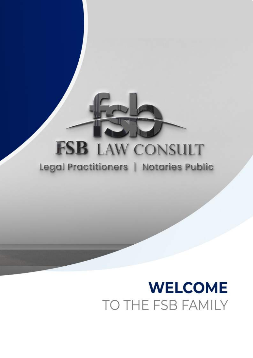# FSB LAW CONSULT

## Legal Practitioners | Notaries Public

# **WELCOME** TO THE FSB FAMILY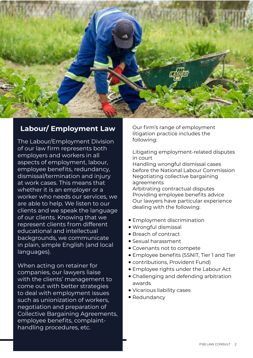

#### **Labour/ Employment Law**

The Labour/Employment Division of our law firm represents both employers and workers in all aspects of employment, labour, employee benefits, redundancy, dismissal/termination and injury at work cases. This means that whether it is an employer or a worker who needs our services, we are able to help. We listen to our clients and we speak the language of our clients. Knowing that we represent clients from different educational and intellectual backgrounds, we communicate in plain, simple English (and local languages).

When acting on retainer for companies, our lawyers liaise with the clients' management to come out with better strategies to deal with employment issues such as unionization of workers, negotiation and preparation of Collective Bargaining Agreements, employee benefits, complainthandling procedures, etc.

Our firm's range of employment litigation practice includes the following:

Litigating employment-related disputes in court

Handling wrongful dismissal cases before the National Labour Commission Negotiating collective bargaining agreements

Arbitrating contractual disputes Providing employee benefits advice Our lawyers have particular experience dealing with the following:

- Employment discrimination
- Wrongful dismissal
- Breach of contract
- Sexual harassment
- Covenants not to compete
- Employee benefits (SSNIT, Tier 1 and Tier
- contributions, Provident Fund)
- Employee rights under the Labour Act
- Challenging and defending arbitration awards
- Vicarious liability cases
- Redundancy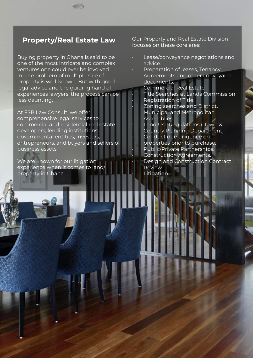#### **Property/Real Estate Law**

 $\blacksquare$ 

Buying property in Ghana is said to be one of the most intricate and complex ventures one could ever be involved in. The problem of multiple sale of property is well-known. But with good legal advice and the guiding hand of experiences lawyers, the process can be less daunting.

At FSB Law Consult, we offer comprehensive legal services to commercial and residential real estate developers, lending institutions, governmental entities, investors, entrepreneurs, and buyers and sellers of business assets.

We are known for our litigation experience when it comes to land/ property in Ghana.

Our Property and Real Estate Division focuses on these core ares:

- Lease/conveyance negotiations and advice.
- Preparation of leases, Tenancy Agreements and other conveyance documents.
- Commercial Real Estate
- Title Searches at Lands Commission
- Registration of Title
- Zoning searches and District. Municipal and Metropolitan Assemblies
- Land Use Regulations ( Town & Country Planning Department) Conduct due diligence on properties prior to purchase. • Public/Private Partnerships.
	- Construction Agreements.
	- Design and Construction Contract Review. Litigation.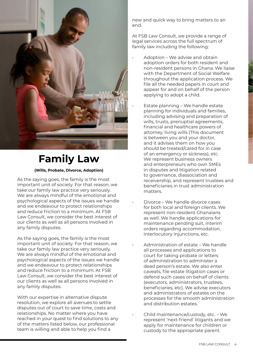

#### **Family Law**

#### **(Wills, Probate, Divorce, Adoption)**

As the saying goes, the family is the most important unit of society. For that reason, we take our family law practice very seriously. We are always mindful of the emotional and psychological aspects of the issues we handle and we endeavour to protect relationships and reduce friction to a minimum. At FSB Law Consult, we consider the best interest of our clients as well as all persons involved in any family disputes.

As the saying goes, the family is the most important unit of society. For that reason, we take our family law practice very seriously. We are always mindful of the emotional and psychological aspects of the issues we handle and we endeavour to protect relationships and reduce friction to a minimum. At FSB Law Consult, we consider the best interest of our clients as well as all persons involved in any family disputes.

With our expertise in alternative dispute resolution, we explore all avenues to settle disputes out of court to save time, costs and relationships. No matter where you have reached in your quest to find solutions to any of the matters listed below, our professional team is willing and able to help you find a

new and quick way to bring matters to an end.

At FSB Law Consult, we provide a range of legal services across the full spectrum of family law including the following:

- Adoption We advise and obtain adoption orders for both resident and non-resident persons in Ghana. We liaise with the Department of Social Welfare throughout the application process. We file all the needed papers in court and appear for and on behalf of the person applying to adopt a child.
	- Estate planning We handle estate planning for individuals and families, including advising and preparation of wills, trusts, prenuptial agreements, financial and healthcare powers of attorney, living wills (This document is between you and your doctor, and it advises them on how you should be treated/cared for in case of an emergency or sickness), etc. We represent business owners and enterpreneurs who own SMEs in disputes and litigation related to governance, diassociation and receivership, and represent trustees and beneficiaries in trust administration matters.
- Divorce We handle divorce cases for both local and foreign clients. We represent non-resident Ghanaians as well. We handle applications for maintenance pending suit, interim orders regarding accommodation, interlocutory injunctions, etc.
- Administration of estate We handle all processes and applications to court for taking probate or letters of administration to administer a dead person's estate. We also enter caveats, file estate litigation cases or defend such cases on behalf of clients (executors, administrators, trustees, beneficiaries, etc). We advise executors and administrators of estates on the processes for the smooth administration and distribution estates.
	- Child maintenance/custody, etc. We represent 'next-friend' litigants and we apply for maintenance for children or custody to the appropriate parent.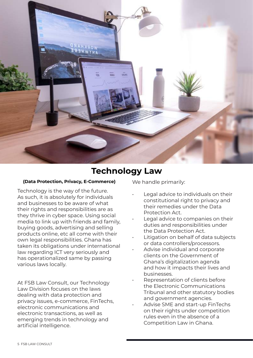

#### **Technology Law**

#### **(Data Protection, Privacy, E-Commerce)**

Technology is the way of the future. As such, it is absolutely for individuals and businesses to be aware of what their rights and responsibilities are as they thrive in cyber space. Using social media to link up with friends and family, buying goods, advertising and selling products online, etc all come with their own legal responsibilities. Ghana has taken its obligations under international law regarding ICT very seriously and has operationalized same by passing various laws locally.

At FSB Law Consult, our Technology Law Division focuses on the laws dealing with data protection and privacy issues, e-commerce, FinTechs, electronic communications and electronic transactions, as well as emerging trends in technology and artificial intelligence.

We handle primarily:

- Legal advice to individuals on their constitutional right to privacy and their remedies under the Data Protection Act.
- Legal advice to companies on their duties and responsibilities under the Data Protection Act.
- Litigation on behalf of data subjects or data controllers/processors.
- Advise individual and corporate clients on the Government of Ghana's digitalization agenda and how it impacts their lives and businesses.
- Representation of clients before the Electronic Communications Tribunal and other statutory bodies and government agencies.
- Advise SME and start-up FinTechs on their rights under competition rules even in the absence of a Competition Law in Ghana.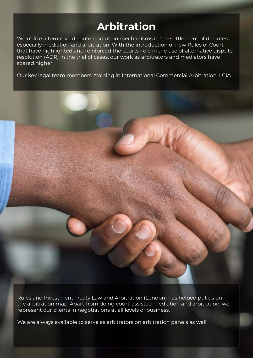## **Arbitration**

We utilize alternative dispute resolution mechanisms in the settlement of disputes, especially mediation and arbitration. With the introduction of new Rules of Court that have highlighted and reinforced the courts' role in the use of alternative dispute resolution (ADR) in the trial of cases, our work as arbitrators and mediators have soared higher.

Our key legal team members' training in International Commercial Arbitration, LCIA



We are always available to serve as arbitrators on arbitration panels as well.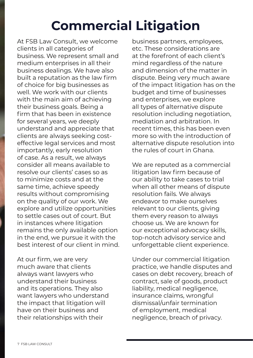## **Commercial Litigation**

At FSB Law Consult, we welcome clients in all categories of business. We represent small and medium enterprises in all their business dealings. We have also built a reputation as the law firm of choice for big businesses as well. We work with our clients with the main aim of achieving their business goals. Being a firm that has been in existence for several years, we deeply understand and appreciate that clients are always seeking costeffective legal services and most importantly, early resolution of case. As a result, we always consider all means available to resolve our clients' cases so as to minimize costs and at the same time, achieve speedy results without compromising on the quality of our work. We explore and utilize opportunities to settle cases out of court. But in instances where litigation remains the only available option in the end, we pursue it with the best interest of our client in mind.

At our firm, we are very much aware that clients always want lawyers who understand their business and its operations. They also want lawyers who understand the impact that litigation will have on their business and their relationships with their

business partners, employees, etc. These considerations are at the forefront of each client's mind regardless of the nature and dimension of the matter in dispute. Being very much aware of the impact litigation has on the budget and time of businesses and enterprises, we explore all types of alternative dispute resolution including negotiation, mediation and arbitration. In recent times, this has been even more so with the introduction of alternative dispute resolution into the rules of court in Ghana.

We are reputed as a commercial litigation law firm because of our ability to take cases to trial when all other means of dispute resolution fails. We always endeavor to make ourselves relevant to our clients, giving them every reason to always choose us. We are known for our exceptional advocacy skills, top-notch advisory service and unforgettable client experience.

Under our commercial litigation practice, we handle disputes and cases on debt recovery, breach of contract, sale of goods, product liability, medical negligence, insurance claims, wrongful dismissal/unfair termination of employment, medical negligence, breach of privacy.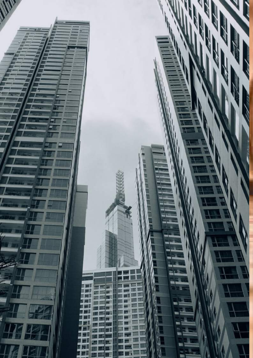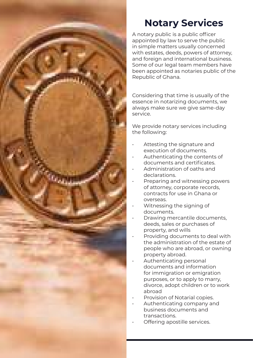

## **Notary Services**

A notary public is a public officer appointed by law to serve the public in simple matters usually concerned with estates, deeds, powers of attorney, and foreign and international business. Some of our legal team members have been appointed as notaries public of the Republic of Ghana.

Considering that time is usually of the essence in notarizing documents, we always make sure we give same-day service.

We provide notary services including the following:

- Attesting the signature and execution of documents.
- Authenticating the contents of documents and certificates.
- Administration of oaths and declarations.
- Preparing and witnessing powers of attorney, corporate records, contracts for use in Ghana or overseas.
- Witnessing the signing of documents.
- Drawing mercantile documents, deeds, sales or purchases of property, and wills
- Providing documents to deal with the administration of the estate of people who are abroad, or owning property abroad.
- Authenticating personal documents and information for immigration or emigration purposes, or to apply to marry, divorce, adopt children or to work abroad
- Provision of Notarial copies.
- Authenticating company and business documents and transactions.
- Offering apostille services.